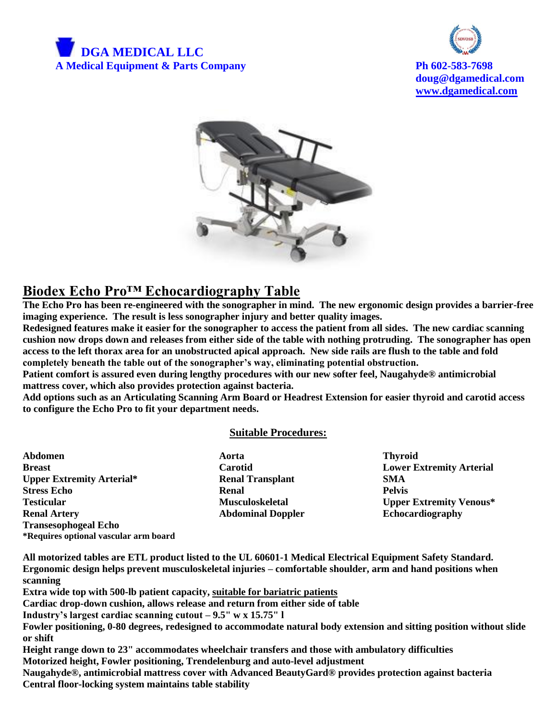



**doug@dgamedical.com [www.dgamedical.com](http://www.dgamedical.com/)**



# **Biodex Echo Pro™ Echocardiography Table**

**The Echo Pro has been re-engineered with the sonographer in mind. The new ergonomic design provides a barrier-free imaging experience. The result is less sonographer injury and better quality images.**

**Redesigned features make it easier for the sonographer to access the patient from all sides. The new cardiac scanning cushion now drops down and releases from either side of the table with nothing protruding. The sonographer has open access to the left thorax area for an unobstructed apical approach. New side rails are flush to the table and fold completely beneath the table out of the sonographer's way, eliminating potential obstruction.** 

**Patient comfort is assured even during lengthy procedures with our new softer feel, Naugahyde® antimicrobial mattress cover, which also provides protection against bacteria.**

**Add options such as an Articulating Scanning Arm Board or Headrest Extension for easier thyroid and carotid access to configure the Echo Pro to fit your department needs.**

#### **Suitable Procedures:**

**Abdomen Aorta Thyroid Breast Carotid Lower Extremity Arterial Upper Extremity Arterial\* Renal Transplant SMA Stress Echo** Renal **Renal Pelvis Testicular Musculoskeletal Upper Extremity Venous\* Renal Artery <b>Abdominal Doppler Echocardiography Echocardiography Transesophogeal Echo \*Requires optional vascular arm board**

**All motorized tables are ETL product listed to the UL 60601-1 Medical Electrical Equipment Safety Standard. Ergonomic design helps prevent musculoskeletal injuries – comfortable shoulder, arm and hand positions when scanning**

**Extra wide top with 500-lb patient capacity, suitable for bariatric patients**

**Cardiac drop-down cushion, allows release and return from either side of table**

**Industry's largest cardiac scanning cutout – 9.5" w x 15.75" l**

**Fowler positioning, 0-80 degrees, redesigned to accommodate natural body extension and sitting position without slide or shift**

**Height range down to 23" accommodates wheelchair transfers and those with ambulatory difficulties Motorized height, Fowler positioning, Trendelenburg and auto-level adjustment Naugahyde®, antimicrobial mattress cover with Advanced BeautyGard® provides protection against bacteria Central floor-locking system maintains table stability**